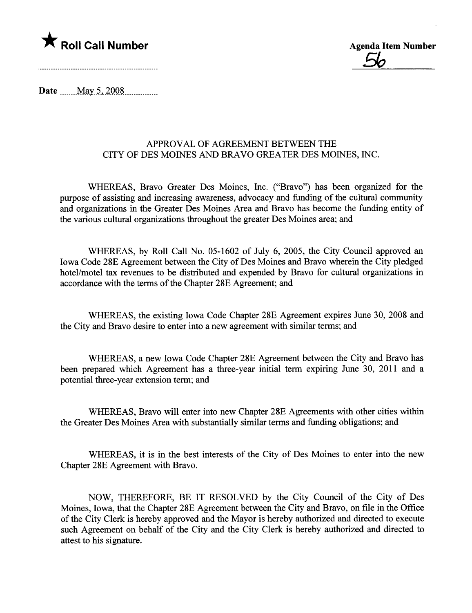

<u>56</u>

Date  $\frac{\text{May } 5, 2008}{\text{May } 5, 2008}$ 

## APPROVAL OF AGREEMENT BETWEEN THE CITY OF DES MOINES AND BRAVO GREATER DES MOINES, INC.

WHEREAS, Bravo Greater Des Moines, Inc. ("Bravo") has been organized for the purose of assisting and increasing awareness, advocacy and fuding of the cultural community and organizations in the Greater Des Moines Area and Bravo has become the funding entity of the various cultural organizations throughout the greater Des Moines area; and

WHEREAS, by Roll Call No. 05-1602 of July 6, 2005, the City Council approved an Iowa Code 28E Agreement between the City of Des Moines and Bravo wherein the City pledged hotel/motel tax revenues to be distributed and expended by Bravo for cultural organizations in accordance with the terms of the Chapter 28E Agreement; and

WHEREAS, the existing Iowa Code Chapter 28E Agreement expires June 30, 2008 and the City and Bravo desire to enter into a new agreement with similar terms; and

WHEREAS, a new Iowa Code Chapter 28E Agreement between the City and Bravo has been prepared which Agreement has a three-year initial term expiring June 30, 2011 and a potential three-year extension term; and

WHEREAS, Bravo will enter into new Chapter 28E Agreements with other cities within the Greater Des Moines Area with substantially similar terms and fuding obligations; and

WHEREAS, it is in the best interests of the City of Des Moines to enter into the new Chapter 28E Agreement with Bravo.

NOW, THEREFORE, BE IT RESOLVED by the City Council of the City of Des Moines, Iowa, that the Chapter 28E Agreement between the City and Bravo, on file in the Office of the City Clerk is hereby approved and the Mayor is hereby authorized and directed to execute such Agreement on behalf of the City and the City Clerk is hereby authorized and directed to attest to his signature.